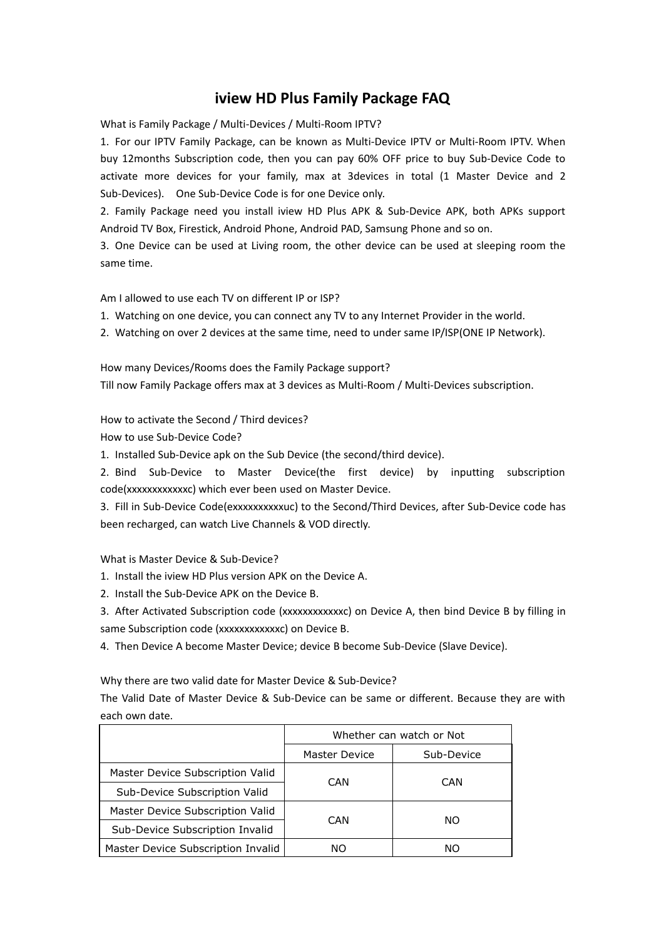## **iview HD Plus Family Package FAQ**

What is Family Package / Multi-Devices / Multi-Room IPTV?

1. For our IPTV Family Package, can be known as Multi-Device IPTV or Multi-Room IPTV. When buy 12months Subscription code, then you can pay 60% OFF price to buy Sub-Device Code to activate more devices for your family, max at 3devices in total (1 Master Device and 2 Sub-Devices). One Sub-Device Code is for one Device only.

2. Family Package need you install iview HD Plus APK & Sub-Device APK, both APKs support Android TV Box, Firestick, Android Phone, Android PAD, Samsung Phone and so on.

3. One Device can be used at Living room, the other device can be used at sleeping room the same time.

Am I allowed to use each TV on different IP or ISP?

1. Watching on one device, you can connect any TV to any Internet Provider in the world.

2. Watching on over 2 devices at the same time, need to under same IP/ISP(ONE IP Network).

How many Devices/Rooms does the Family Package support? Till now Family Package offers max at 3 devices as Multi-Room / Multi-Devices subscription.

How to activate the Second / Third devices?

How to use Sub-Device Code?

1. Installed Sub-Device apk on the Sub Device (the second/third device).

2. Bind Sub-Device to Master Device(the first device) by inputting subscription code(xxxxxxxxxxxxc) which ever been used on Master Device.

3. Fill in Sub-Device Code(exxxxxxxxxxuc) to the Second/Third Devices, after Sub-Device code has been recharged, can watch Live Channels & VOD directly.

What is Master Device & Sub-Device?

1. Install the iview HD Plus version APK on the Device A.

2. Install the Sub-Device APK on the Device B.

3. After Activated Subscription code (xxxxxxxxxxxx) on Device A, then bind Device B by filling in same Subscription code (xxxxxxxxxxxxc) on Device B.

4. Then Device A become Master Device; device B become Sub-Device (Slave Device).

Why there are two valid date for Master Device & Sub-Device?

The Valid Date of Master Device & Sub-Device can be same or different. Because they are with each own date.

|                                    | Whether can watch or Not |            |
|------------------------------------|--------------------------|------------|
|                                    | Master Device            | Sub-Device |
| Master Device Subscription Valid   | <b>CAN</b>               | CAN        |
| Sub-Device Subscription Valid      |                          |            |
| Master Device Subscription Valid   | <b>CAN</b>               | NO.        |
| Sub-Device Subscription Invalid    |                          |            |
| Master Device Subscription Invalid | NΟ                       | ΝO         |